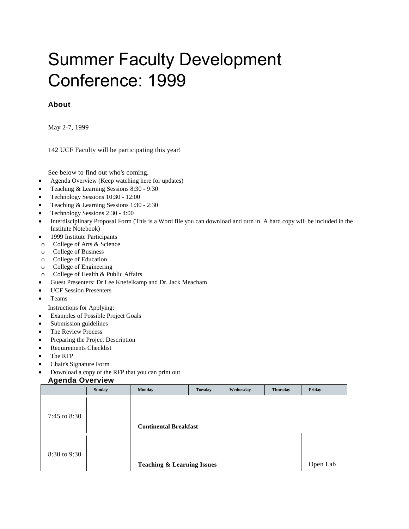# Summer Faculty Development Conference: 1999

# **About**

May 2-7, 1999

142 UCF Faculty will be participating this year!

<span id="page-0-0"></span>See below to find out who's coming.

- Agenda [Overview](http://fctl.ucf.edu/Events/SummerConference/1999/#agenda) (Keep watching here for updates)
- Teaching & Learning Sessions [8:30](http://fctl.ucf.edu/Events/SummerConference/1999/#teach8) 9:30
- Technology Sessions 10:30 [12:00](http://fctl.ucf.edu/Events/SummerConference/1999/#tech10)
- Teaching & Learning Sessions [1:30](http://fctl.ucf.edu/Events/SummerConference/1999/#teach1) 2:30
- Technology Sessions [2:30](http://fctl.ucf.edu/Events/SummerConference/1999/#tech3) 4:00
- Interdisciplinary Proposal [Form](http://fctl.ucf.edu/Events/SummerConference/1999/interdis.rtf) (This is a Word file you can download and turn in. A hard copy will be included in the Institute Notebook)
- 1999 Institute [Participants](http://fctl.ucf.edu/Events/SummerConference/1999/#participants)
- o College of Arts & [Science](http://fctl.ucf.edu/Events/SummerConference/1999/#ans)
- o College of [Business](http://fctl.ucf.edu/Events/SummerConference/1999/#bus)
- o College of [Education](http://fctl.ucf.edu/Events/SummerConference/1999/#edu)
- o College of [Engineering](http://fctl.ucf.edu/Events/SummerConference/1999/#eng)
- o College of Health & Public [Affairs](http://fctl.ucf.edu/Events/SummerConference/1999/#hpa)
- [Guest](http://fctl.ucf.edu/Events/SummerConference/1999/#guests) Presenters: Dr Lee Knefelkamp and Dr. Jack Meacham
- [UCF](http://fctl.ucf.edu/Events/SummerConference/1999/#presenters) Session Presenters
- [Teams](http://fctl.ucf.edu/Events/SummerConference/1999/teams.htm)

Instructions for Applying:

- [Examples](http://fctl.ucf.edu/Events/SummerConference/1999/#examples) of Possible Project Goals
- [Submission](http://fctl.ucf.edu/Events/SummerConference/1999/#submission) guidelines
- The [Review](http://fctl.ucf.edu/Events/SummerConference/1999/process.htm) Process
- Preparing the Project [Description](http://fctl.ucf.edu/Events/SummerConference/1999/project_description.htm)
- [Requirements](http://fctl.ucf.edu/Events/SummerConference/1999/checklist.htm) Checklist
- The [RFP](http://fctl.ucf.edu/Events/SummerConference/1999/form.htm)
- Chair's [Signature](http://fctl.ucf.edu/Events/SummerConference/1999/chair.htm) Form
- [Download](http://fctl.ucf.edu/Events/SummerConference/1999/rfp992.doc) a copy of the RFP that you can print out

# **Agenda Overview**

| -            | Sunday | Monday                                | <b>Tuesday</b> | Wednesday | <b>Thursday</b> | Friday   |
|--------------|--------|---------------------------------------|----------------|-----------|-----------------|----------|
|              |        |                                       |                |           |                 |          |
|              |        |                                       |                |           |                 |          |
| 7:45 to 8:30 |        |                                       |                |           |                 |          |
|              |        | <b>Continental Breakfast</b>          |                |           |                 |          |
|              |        |                                       |                |           |                 |          |
|              |        |                                       |                |           |                 |          |
| 8:30 to 9:30 |        |                                       |                |           |                 |          |
|              |        | <b>Teaching &amp; Learning Issues</b> |                |           |                 | Open Lab |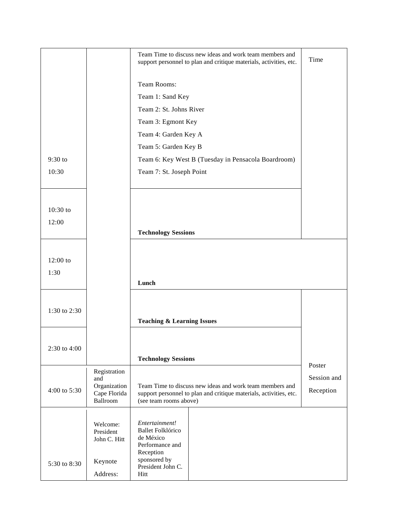|              |                           | Team Time to discuss new ideas and work team members and<br>support personnel to plan and critique materials, activities, etc. | Time        |
|--------------|---------------------------|--------------------------------------------------------------------------------------------------------------------------------|-------------|
|              |                           | Team Rooms:                                                                                                                    |             |
|              |                           | Team 1: Sand Key                                                                                                               |             |
|              |                           | Team 2: St. Johns River                                                                                                        |             |
|              |                           | Team 3: Egmont Key                                                                                                             |             |
|              |                           | Team 4: Garden Key A                                                                                                           |             |
|              |                           | Team 5: Garden Key B                                                                                                           |             |
| 9:30 to      |                           | Team 6: Key West B (Tuesday in Pensacola Boardroom)                                                                            |             |
| 10:30        |                           | Team 7: St. Joseph Point                                                                                                       |             |
|              |                           |                                                                                                                                |             |
|              |                           |                                                                                                                                |             |
| 10:30 to     |                           |                                                                                                                                |             |
| 12:00        |                           |                                                                                                                                |             |
|              |                           | <b>Technology Sessions</b>                                                                                                     |             |
|              |                           |                                                                                                                                |             |
| $12:00$ to   |                           |                                                                                                                                |             |
| 1:30         |                           |                                                                                                                                |             |
|              |                           | Lunch                                                                                                                          |             |
|              |                           |                                                                                                                                |             |
| 1:30 to 2:30 |                           |                                                                                                                                |             |
|              |                           | <b>Teaching &amp; Learning Issues</b>                                                                                          |             |
|              |                           |                                                                                                                                |             |
| 2:30 to 4:00 |                           |                                                                                                                                |             |
|              |                           | <b>Technology Sessions</b>                                                                                                     | Poster      |
|              | Registration              |                                                                                                                                | Session and |
|              | and<br>Organization       | Team Time to discuss new ideas and work team members and                                                                       |             |
| 4:00 to 5:30 | Cape Florida<br>Ballroom  | support personnel to plan and critique materials, activities, etc.<br>(see team rooms above)                                   | Reception   |
|              |                           |                                                                                                                                |             |
|              | Welcome:                  | Entertainment!                                                                                                                 |             |
|              | President<br>John C. Hitt | <b>Ballet Folklórico</b><br>de México                                                                                          |             |
|              |                           | Performance and<br>Reception                                                                                                   |             |
| 5:30 to 8:30 | Keynote                   | sponsored by                                                                                                                   |             |
|              | Address:                  | President John C.<br>Hitt                                                                                                      |             |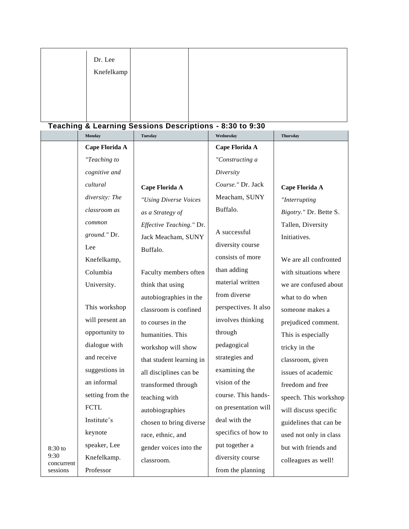| Dr. Lee    |  |  |
|------------|--|--|
| Knefelkamp |  |  |
|            |  |  |
|            |  |  |

# **Teaching & Learning Sessions Descriptions - 8:30 to 9:30**

|                    | <b>Monday</b>    | <b>Tuesday</b>           | Wednesday             | <b>Thursday</b>        |
|--------------------|------------------|--------------------------|-----------------------|------------------------|
|                    | Cape Florida A   |                          | Cape Florida A        |                        |
|                    | "Teaching to     |                          | "Constructing a       |                        |
|                    | cognitive and    |                          | Diversity             |                        |
|                    | cultural         | Cape Florida A           | Course." Dr. Jack     | Cape Florida A         |
|                    | diversity: The   | "Using Diverse Voices    | Meacham, SUNY         | "Interrupting          |
|                    | classroom as     | as a Strategy of         | Buffalo.              | Bigotry." Dr. Bette S. |
|                    | common           | Effective Teaching." Dr. |                       | Tallen, Diversity      |
|                    | ground." Dr.     | Jack Meacham, SUNY       | A successful          | Initiatives.           |
|                    | Lee              | Buffalo.                 | diversity course      |                        |
|                    | Knefelkamp,      |                          | consists of more      | We are all confronted  |
|                    | Columbia         | Faculty members often    | than adding           | with situations where  |
|                    | University.      | think that using         | material written      | we are confused about  |
|                    |                  | autobiographies in the   | from diverse          | what to do when        |
|                    | This workshop    | classroom is confined    | perspectives. It also | someone makes a        |
|                    | will present an  | to courses in the        | involves thinking     | prejudiced comment.    |
|                    | opportunity to   | humanities. This         | through               | This is especially     |
|                    | dialogue with    | workshop will show       | pedagogical           | tricky in the          |
|                    | and receive      | that student learning in | strategies and        | classroom, given       |
|                    | suggestions in   | all disciplines can be   | examining the         | issues of academic     |
|                    | an informal      | transformed through      | vision of the         | freedom and free       |
|                    | setting from the | teaching with            | course. This hands-   | speech. This workshop  |
|                    | <b>FCTL</b>      | autobiographies          | on presentation will  | will discuss specific  |
|                    | Institute's      | chosen to bring diverse  | deal with the         | guidelines that can be |
|                    | keynote          | race, ethnic, and        | specifics of how to   | used not only in class |
| $8:30$ to          | speaker, Lee     | gender voices into the   | put together a        | but with friends and   |
| 9:30<br>concurrent | Knefelkamp.      | classroom.               | diversity course      | colleagues as well!    |
| sessions           | Professor        |                          | from the planning     |                        |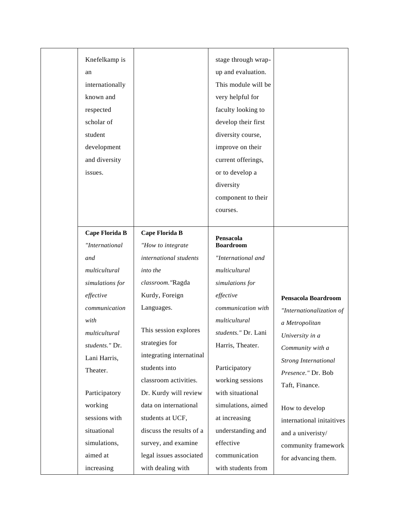#### Knefelkamp is an internationally known and respected scholar of student development and diversity issues. stage through wrapup and evaluation. This module will be very helpful for faculty looking to develop their first diversity course, improve on their current offerings, or to develop a diversity component to their

#### **Cape Florida B** *"International and multicultural simulations for effective communication with multicultural students."* Dr. Lani Harris, Theater. Participatory working sessions with situational simulations, aimed at **Cape Florida B** *"How to integrate international students into the classroom."*Ragda Kurdy, Foreign Languages. This session explores strategies for integrating internatinal students into classroom activities. Dr. Kurdy will review data on international students at UCF, discuss the results of a survey, and examine legal issues associated

with dealing with

increasing

# *multicultural simulations for effective communication with multicultural students."* Dr. Lani Harris, Theater. Participatory working sessions with situational simulations, aimed at increasing

courses.

**Pensacola Boardroom**

*"International and*

understanding and effective communication with students from

#### **Pensacola Boardroom**

*"Internationalization of a Metropolitan University in a Community with a Strong International Presence."* Dr. Bob Taft, Finance.

How to develop international initaitives and a univeristy/ community framework for advancing them.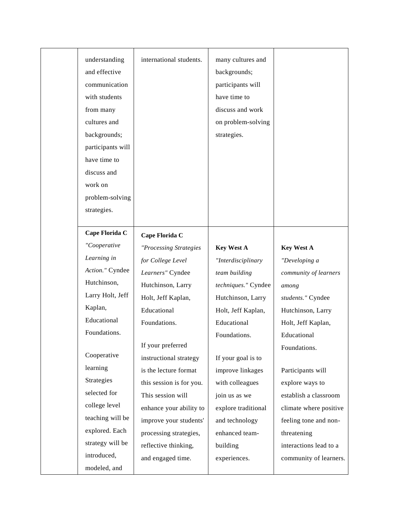| understanding | international students. |
|---------------|-------------------------|

and effective communication with students from many cultures and backgrounds; participants will have time to discuss and work on problem-solving strategies.

# **Cape Florida C**

*"Cooperative Learning in Action."* Cyndee Hutchinson, Larry Holt, Jeff Kaplan, Educational Foundations.

Cooperative learning Strategies selected for college level teaching will be explored. Each strategy will be introduced, modeled, and

*"Processing Strategies for College Level Learners"* Cyndee Hutchinson, Larry Holt, Jeff Kaplan, Educational Foundations.

**Cape Florida C**

If your preferred instructional strategy is the lecture format this session is for you. This session will enhance your ability to improve your students' processing strategies, reflective thinking, and engaged time.

many cultures and backgrounds; participants will have time to discuss and work on problem-solving strategies.

#### **Key West A**

*"Interdisciplinary team building techniques."* Cyndee Hutchinson, Larry Holt, Jeff Kaplan, Educational Foundations.

If your goal is to improve linkages with colleagues join us as we explore traditional and technology enhanced teambuilding experiences.

#### **Key West A**

*"Developing a community of learners among students."* Cyndee Hutchinson, Larry Holt, Jeff Kaplan, Educational Foundations.

Participants will explore ways to establish a classroom climate where positive feeling tone and nonthreatening interactions lead to a community of learners.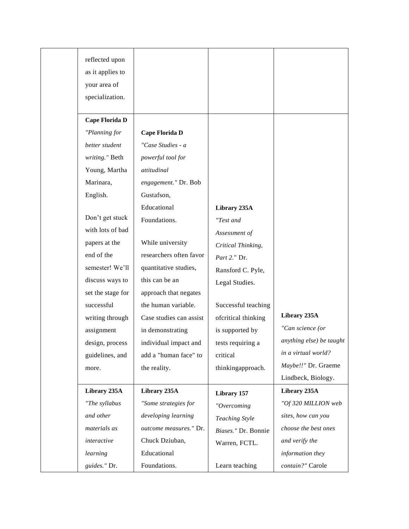| reflected upon    |                         |                     |                          |
|-------------------|-------------------------|---------------------|--------------------------|
| as it applies to  |                         |                     |                          |
| your area of      |                         |                     |                          |
| specialization.   |                         |                     |                          |
|                   |                         |                     |                          |
| Cape Florida D    |                         |                     |                          |
| "Planning for     | Cape Florida D          |                     |                          |
| better student    | "Case Studies - a       |                     |                          |
| writing." Beth    | powerful tool for       |                     |                          |
| Young, Martha     | attitudinal             |                     |                          |
| Marinara,         | engagement." Dr. Bob    |                     |                          |
| English.          | Gustafson,              |                     |                          |
|                   | Educational             | Library 235A        |                          |
| Don't get stuck   | Foundations.            | "Test and           |                          |
| with lots of bad  |                         | Assessment of       |                          |
| papers at the     | While university        | Critical Thinking,  |                          |
| end of the        | researchers often favor | Part 2." Dr.        |                          |
| semester! We'll   | quantitative studies,   | Ransford C. Pyle,   |                          |
| discuss ways to   | this can be an          | Legal Studies.      |                          |
| set the stage for | approach that negates   |                     |                          |
| successful        | the human variable.     | Successful teaching |                          |
| writing through   | Case studies can assist | ofcritical thinking | Library 235A             |
| assignment        | in demonstrating        | is supported by     | "Can science (or         |
| design, process   | individual impact and   | tests requiring a   | anything else) be taught |
| guidelines, and   | add a "human face" to   | critical            | in a virtual world?      |
| more.             | the reality.            | thinkingapproach.   | Maybe!!" Dr. Graeme      |
|                   |                         |                     | Lindbeck, Biology.       |
| Library 235A      | Library 235A            | Library 157         | Library 235A             |
| "The syllabus     | "Some strategies for    | "Overcoming         | "Of 320 MILLION web      |
| and other         | developing learning     | Teaching Style      | sites, how can you       |
| materials as      | outcome measures." Dr.  | Biases." Dr. Bonnie | choose the best ones     |
| interactive       | Chuck Dziuban,          | Warren, FCTL.       | and verify the           |
| learning          | Educational             |                     | information they         |
| guides." Dr.      | Foundations.            | Learn teaching      | contain?" Carole         |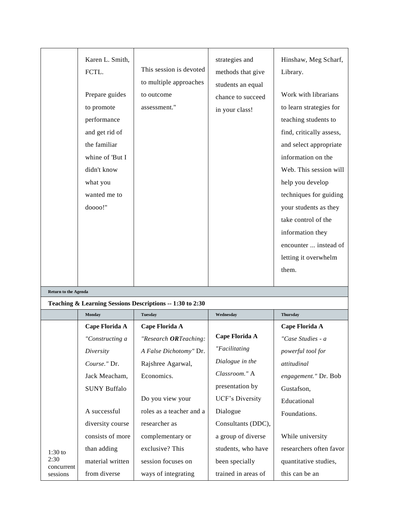|                             | Karen L. Smith,<br>FCTL.<br>Prepare guides<br>to promote<br>performance<br>and get rid of<br>the familiar<br>whine of 'But I<br>didn't know<br>what you<br>wanted me to<br>doooo!" | This session is devoted<br>to multiple approaches<br>to outcome<br>assessment." | strategies and<br>methods that give<br>students an equal<br>chance to succeed<br>in your class! | Hinshaw, Meg Scharf,<br>Library.<br>Work with librarians<br>to learn strategies for<br>teaching students to<br>find, critically assess,<br>and select appropriate<br>information on the<br>Web. This session will<br>help you develop<br>techniques for guiding<br>your students as they<br>take control of the<br>information they<br>encounter  instead of<br>letting it overwhelm<br>them. |
|-----------------------------|------------------------------------------------------------------------------------------------------------------------------------------------------------------------------------|---------------------------------------------------------------------------------|-------------------------------------------------------------------------------------------------|-----------------------------------------------------------------------------------------------------------------------------------------------------------------------------------------------------------------------------------------------------------------------------------------------------------------------------------------------------------------------------------------------|
| <b>Return to the Agenda</b> |                                                                                                                                                                                    |                                                                                 |                                                                                                 |                                                                                                                                                                                                                                                                                                                                                                                               |
|                             |                                                                                                                                                                                    | Teaching & Learning Sessions Descriptions -- 1:30 to 2:30                       |                                                                                                 |                                                                                                                                                                                                                                                                                                                                                                                               |
|                             | Monday                                                                                                                                                                             | <b>Tuesday</b>                                                                  | Wednesday                                                                                       | <b>Thursday</b>                                                                                                                                                                                                                                                                                                                                                                               |
|                             | Cape Florida A                                                                                                                                                                     | Cape Florida A                                                                  |                                                                                                 | Cape Florida A                                                                                                                                                                                                                                                                                                                                                                                |
|                             | "Constructing a                                                                                                                                                                    | "Research ORTeaching:                                                           | Cape Florida A                                                                                  | "Case Studies - a                                                                                                                                                                                                                                                                                                                                                                             |
|                             | Diversity                                                                                                                                                                          | A False Dichotomy" Dr.                                                          | "Facilitating                                                                                   | powerful tool for                                                                                                                                                                                                                                                                                                                                                                             |
|                             | Course." Dr.                                                                                                                                                                       | Rajshree Agarwal,                                                               | Dialogue in the                                                                                 | attitudinal                                                                                                                                                                                                                                                                                                                                                                                   |
|                             | Jack Meacham,                                                                                                                                                                      | Economics.                                                                      | Classroom." A                                                                                   | engagement." Dr. Bob                                                                                                                                                                                                                                                                                                                                                                          |
|                             | <b>SUNY Buffalo</b>                                                                                                                                                                |                                                                                 | presentation by                                                                                 | Gustafson,                                                                                                                                                                                                                                                                                                                                                                                    |
|                             |                                                                                                                                                                                    | Do you view your                                                                | UCF's Diversity                                                                                 | Educational                                                                                                                                                                                                                                                                                                                                                                                   |
|                             | A successful                                                                                                                                                                       | roles as a teacher and a                                                        | Dialogue                                                                                        | Foundations.                                                                                                                                                                                                                                                                                                                                                                                  |
|                             | diversity course                                                                                                                                                                   | researcher as                                                                   | Consultants (DDC),                                                                              |                                                                                                                                                                                                                                                                                                                                                                                               |
|                             | consists of more                                                                                                                                                                   | complementary or                                                                | a group of diverse                                                                              | While university                                                                                                                                                                                                                                                                                                                                                                              |
| $1:30$ to                   | than adding                                                                                                                                                                        | exclusive? This                                                                 | students, who have                                                                              | researchers often favor                                                                                                                                                                                                                                                                                                                                                                       |
| 2:30                        | material written                                                                                                                                                                   | session focuses on                                                              | been specially                                                                                  | quantitative studies,                                                                                                                                                                                                                                                                                                                                                                         |
| concurrent<br>sessions      | from diverse                                                                                                                                                                       | ways of integrating                                                             | trained in areas of                                                                             | this can be an                                                                                                                                                                                                                                                                                                                                                                                |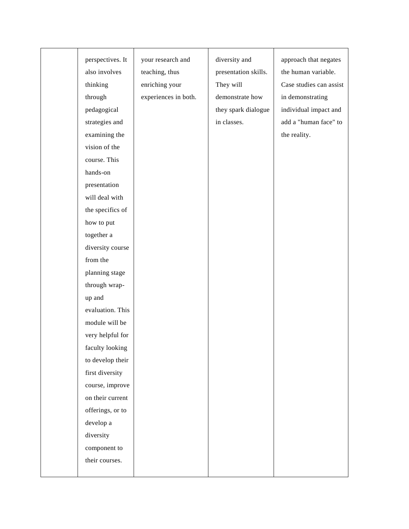| perspectives. It | your research and    | diversity and        | approach that negates   |
|------------------|----------------------|----------------------|-------------------------|
| also involves    | teaching, thus       | presentation skills. | the human variable.     |
|                  | enriching your       | They will            | Case studies can assist |
| thinking         |                      | demonstrate how      |                         |
| through          | experiences in both. |                      | in demonstrating        |
| pedagogical      |                      | they spark dialogue  | individual impact and   |
| strategies and   |                      | in classes.          | add a "human face" to   |
| examining the    |                      |                      | the reality.            |
| vision of the    |                      |                      |                         |
| course. This     |                      |                      |                         |
| hands-on         |                      |                      |                         |
| presentation     |                      |                      |                         |
| will deal with   |                      |                      |                         |
| the specifics of |                      |                      |                         |
| how to put       |                      |                      |                         |
| together a       |                      |                      |                         |
| diversity course |                      |                      |                         |
| from the         |                      |                      |                         |
| planning stage   |                      |                      |                         |
| through wrap-    |                      |                      |                         |
| up and           |                      |                      |                         |
| evaluation. This |                      |                      |                         |
| module will be   |                      |                      |                         |
| very helpful for |                      |                      |                         |
| faculty looking  |                      |                      |                         |
| to develop their |                      |                      |                         |
| first diversity  |                      |                      |                         |
| course, improve  |                      |                      |                         |
| on their current |                      |                      |                         |
| offerings, or to |                      |                      |                         |
| develop a        |                      |                      |                         |
| diversity        |                      |                      |                         |
| component to     |                      |                      |                         |
| their courses.   |                      |                      |                         |
|                  |                      |                      |                         |
|                  |                      |                      |                         |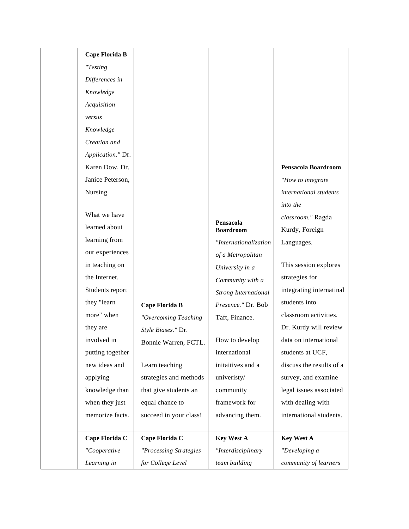| Cape Florida B    |                        |                             |                          |
|-------------------|------------------------|-----------------------------|--------------------------|
| "Testing          |                        |                             |                          |
| Differences in    |                        |                             |                          |
| Knowledge         |                        |                             |                          |
| Acquisition       |                        |                             |                          |
| versus            |                        |                             |                          |
| Knowledge         |                        |                             |                          |
| Creation and      |                        |                             |                          |
| Application." Dr. |                        |                             |                          |
| Karen Dow, Dr.    |                        |                             | Pensacola Boardroom      |
| Janice Peterson,  |                        |                             | "How to integrate        |
| Nursing           |                        |                             | international students   |
|                   |                        |                             | into the                 |
| What we have      |                        | Pensacola                   | classroom." Ragda        |
| learned about     |                        | <b>Boardroom</b>            | Kurdy, Foreign           |
| learning from     |                        | "Internationalization       | Languages.               |
| our experiences   |                        | of a Metropolitan           |                          |
| in teaching on    |                        | University in a             | This session explores    |
| the Internet.     |                        | Community with a            | strategies for           |
| Students report   |                        | <b>Strong International</b> | integrating internatinal |
| they "learn       | Cape Florida B         | Presence." Dr. Bob          | students into            |
| more" when        | "Overcoming Teaching   | Taft, Finance.              | classroom activities.    |
| they are          | Style Biases." Dr.     |                             | Dr. Kurdy will review    |
| involved in       | Bonnie Warren, FCTL.   | How to develop              | data on international    |
| putting together  |                        | international               | students at UCF,         |
| new ideas and     | Learn teaching         | initaitives and a           | discuss the results of a |
| applying          | strategies and methods | univeristy/                 | survey, and examine      |
| knowledge than    | that give students an  | community                   | legal issues associated  |
| when they just    | equal chance to        | framework for               | with dealing with        |
| memorize facts.   | succeed in your class! | advancing them.             | international students.  |
| Cape Florida C    | Cape Florida C         | <b>Key West A</b>           | <b>Key West A</b>        |
| "Cooperative      | "Processing Strategies | "Interdisciplinary          | "Developing a            |
| Learning in       | for College Level      | team building               | community of learners    |
|                   |                        |                             |                          |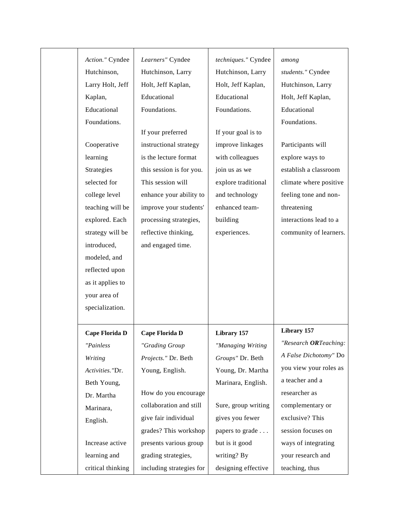| Action." Cyndee  | Learners" Cyndee         | techniques." Cyndee | among                  |
|------------------|--------------------------|---------------------|------------------------|
| Hutchinson,      | Hutchinson, Larry        | Hutchinson, Larry   | students." Cyndee      |
| Larry Holt, Jeff | Holt, Jeff Kaplan,       | Holt, Jeff Kaplan,  | Hutchinson, Larry      |
| Kaplan,          | Educational              | Educational         | Holt, Jeff Kaplan,     |
| Educational      | Foundations.             | Foundations.        | Educational            |
| Foundations.     |                          |                     | Foundations.           |
|                  | If your preferred        | If your goal is to  |                        |
| Cooperative      | instructional strategy   | improve linkages    | Participants will      |
| learning         | is the lecture format    | with colleagues     | explore ways to        |
| Strategies       | this session is for you. | join us as we       | establish a classroom  |
| selected for     | This session will        | explore traditional | climate where positive |
| college level    | enhance your ability to  | and technology      | feeling tone and non-  |
| teaching will be | improve your students'   | enhanced team-      | threatening            |
| explored. Each   | processing strategies,   | building            | interactions lead to a |
| strategy will be | reflective thinking,     | experiences.        | community of learners. |
| introduced,      | and engaged time.        |                     |                        |
| modeled, and     |                          |                     |                        |
| reflected upon   |                          |                     |                        |
| as it applies to |                          |                     |                        |
| your area of     |                          |                     |                        |
| specialization.  |                          |                     |                        |
|                  |                          |                     |                        |
| Cape Florida D   | Cape Florida D           | Library 157         | Library 157            |
| "Painless        | "Grading Group           | "Managing Writing   | "Research ORTeaching:  |
| Writing          | Projects." Dr. Beth      | Groups" Dr. Beth    | A False Dichotomy" Do  |
| Activities."Dr.  | Young, English.          | Young, Dr. Martha   | you view your roles as |
| Beth Young,      |                          | Marinara, English.  | a teacher and a        |
| Dr. Martha       | How do you encourage     |                     | researcher as          |
| Marinara,        | collaboration and still  | Sure, group writing | complementary or       |
| English.         | give fair individual     | gives you fewer     | exclusive? This        |
|                  | grades? This workshop    | papers to grade     | session focuses on     |
|                  |                          |                     |                        |
| Increase active  | presents various group   | but is it good      | ways of integrating    |
| learning and     | grading strategies,      | writing? By         | your research and      |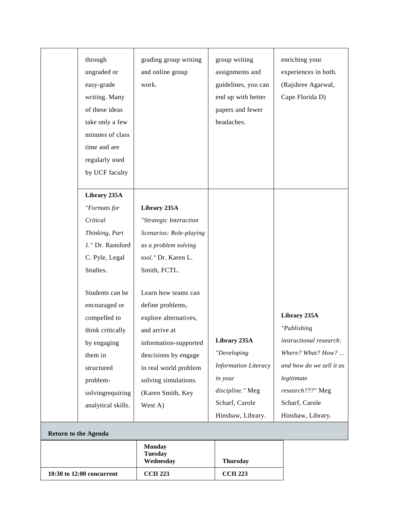|                      | 10:30 to 12:00 concurrent | <b>CCII 223</b>                              | <b>CCII 223</b>             |                          |
|----------------------|---------------------------|----------------------------------------------|-----------------------------|--------------------------|
|                      |                           | <b>Monday</b><br><b>Tuesday</b><br>Wednesday | <b>Thursday</b>             |                          |
| Return to the Agenda |                           |                                              |                             |                          |
|                      |                           |                                              | Hinshaw, Library.           | Hinshaw, Library.        |
|                      | analytical skills.        | West A)                                      | Scharf, Carole              | Scharf, Carole           |
|                      | solvingrequiring          | (Karen Smith, Key                            | discipline." Meg            | research???" Meg         |
|                      | problem-                  | solving simulations.                         | in your                     | legitimate               |
|                      | structured                | in real world problem                        | <b>Information Literacy</b> | and how do we sell it as |
|                      | them in                   | descisions by engage                         | "Developing                 | Where? What? How?        |
|                      | by engaging               | information-supported                        | Library 235A                | instructional research:  |
|                      | think critically          | and arrive at                                |                             | "Publishing              |
|                      | compelled to              | explore alternatives,                        |                             | Library 235A             |
|                      | encouraged or             | define problems,                             |                             |                          |
|                      | Students can be           | Learn how teams can                          |                             |                          |
|                      | Studies.                  | Smith, FCTL.                                 |                             |                          |
|                      | C. Pyle, Legal            | tool." Dr. Karen L.                          |                             |                          |
|                      | 1." Dr. Ransford          | as a problem solving                         |                             |                          |
|                      | Thinking, Part            | Scenarios: Role-playing                      |                             |                          |
|                      | Critical                  | "Strategic Interaction                       |                             |                          |
|                      | "Formats for              | Library 235A                                 |                             |                          |
|                      | Library 235A              |                                              |                             |                          |
|                      |                           |                                              |                             |                          |
|                      | by UCF faculty            |                                              |                             |                          |
|                      | regularly used            |                                              |                             |                          |
|                      | time and are              |                                              |                             |                          |
|                      | minutes of class          |                                              |                             |                          |
|                      | take only a few           |                                              | headaches.                  |                          |
|                      | of these ideas            |                                              | papers and fewer            |                          |
|                      | writing. Many             |                                              | end up with better          | Cape Florida D)          |
|                      | easy-grade                | work.                                        | guidelines, you can         | (Rajshree Agarwal,       |
|                      | ungraded or               | and online group                             | assignments and             | experiences in both.     |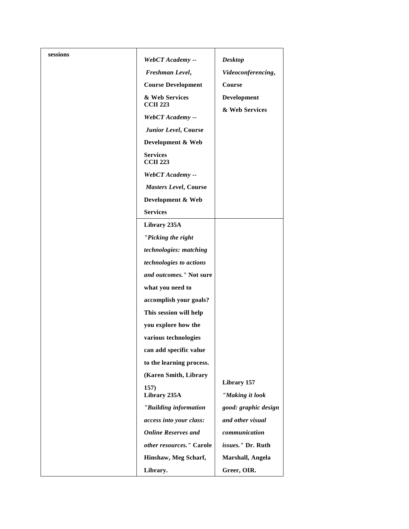| sessions | WebCT Academy --                   | <b>Desktop</b>                    |
|----------|------------------------------------|-----------------------------------|
|          | Freshman Level,                    | Videoconferencing,                |
|          | <b>Course Development</b>          | Course                            |
|          | & Web Services                     | Development                       |
|          | <b>CCII 223</b>                    | & Web Services                    |
|          | WebCT Academy --                   |                                   |
|          | Junior Level, Course               |                                   |
|          | Development & Web                  |                                   |
|          | <b>Services</b><br><b>CCII 223</b> |                                   |
|          | WebCT Academy --                   |                                   |
|          | Masters Level, Course              |                                   |
|          | Development & Web                  |                                   |
|          | <b>Services</b>                    |                                   |
|          | Library 235A                       |                                   |
|          | "Picking the right                 |                                   |
|          | technologies: matching             |                                   |
|          | technologies to actions            |                                   |
|          | and outcomes." Not sure            |                                   |
|          | what you need to                   |                                   |
|          | accomplish your goals?             |                                   |
|          | This session will help             |                                   |
|          | you explore how the                |                                   |
|          | various technologies               |                                   |
|          | can add specific value             |                                   |
|          | to the learning process.           |                                   |
|          | (Karen Smith, Library              |                                   |
|          | 157)                               | Library 157                       |
|          | Library 235A                       | "Making it look                   |
|          | "Building information              | good: graphic design              |
|          | access into your class:            | and other visual<br>communication |
|          | <b>Online Reserves and</b>         |                                   |
|          | other resources." Carole           | issues." Dr. Ruth                 |
|          | Hinshaw, Meg Scharf,               | Marshall, Angela                  |
|          | Library.                           | Greer, OIR.                       |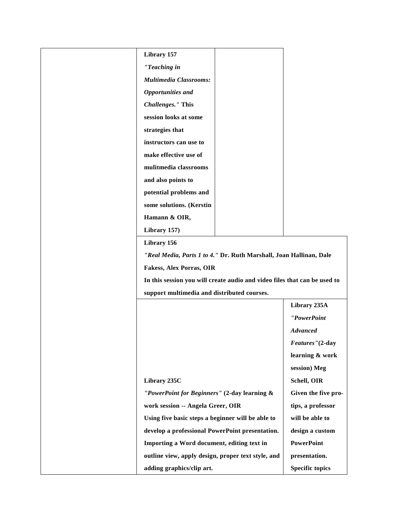| Library 157                                                               |                         |
|---------------------------------------------------------------------------|-------------------------|
| "Teaching in                                                              |                         |
| <b>Multimedia Classrooms:</b>                                             |                         |
| <b>Opportunities and</b>                                                  |                         |
| <b>Challenges."</b> This                                                  |                         |
| session looks at some                                                     |                         |
| strategies that                                                           |                         |
| instructors can use to                                                    |                         |
| make effective use of                                                     |                         |
| mulitmedia classrooms                                                     |                         |
| and also points to                                                        |                         |
| potential problems and                                                    |                         |
| some solutions. (Kerstin                                                  |                         |
| Hamann & OIR,                                                             |                         |
| Library 157)                                                              |                         |
| Library 156                                                               |                         |
| "Real Media, Parts 1 to 4." Dr. Ruth Marshall, Joan Hallinan, Dale        |                         |
| <b>Fakess, Alex Porras, OIR</b>                                           |                         |
| In this session you will create audio and video files that can be used to |                         |
| support multimedia and distributed courses.                               |                         |
|                                                                           | Library 235A            |
|                                                                           | "PowerPoint             |
|                                                                           | <b>Advanced</b>         |
|                                                                           | <i>Features</i> "(2-day |
|                                                                           | learning & work         |
|                                                                           | session) Meg            |
| Library 235C                                                              | Schell, OIR             |
| "PowerPoint for Beginners" (2-day learning &                              | Given the five pro-     |
| work session -- Angela Greer, OIR                                         | tips, a professor       |
| Using five basic steps a beginner will be able to                         | will be able to         |
| develop a professional PowerPoint presentation.                           | design a custom         |
| Importing a Word document, editing text in                                | <b>PowerPoint</b>       |
| outline view, apply design, proper text style, and                        | presentation.           |
| adding graphics/clip art.                                                 | <b>Specific topics</b>  |
|                                                                           |                         |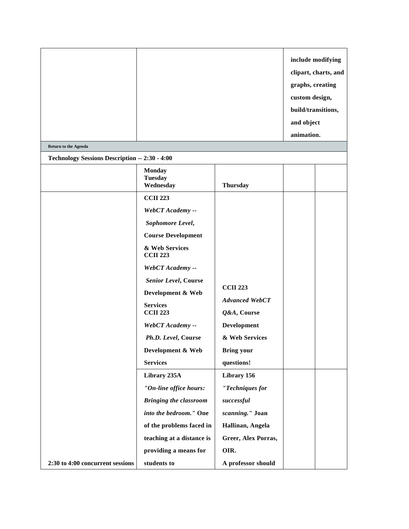| <b>Return to the Agenda</b>                    |                                              |                                      | include modifying<br>clipart, charts, and<br>graphs, creating<br>custom design,<br>build/transitions,<br>and object<br>animation. |  |
|------------------------------------------------|----------------------------------------------|--------------------------------------|-----------------------------------------------------------------------------------------------------------------------------------|--|
| Technology Sessions Description -- 2:30 - 4:00 |                                              |                                      |                                                                                                                                   |  |
|                                                | <b>Monday</b><br><b>Tuesday</b><br>Wednesday | <b>Thursday</b>                      |                                                                                                                                   |  |
|                                                | <b>CCII 223</b>                              |                                      |                                                                                                                                   |  |
|                                                | WebCT Academy --                             |                                      |                                                                                                                                   |  |
|                                                | Sophomore Level,                             |                                      |                                                                                                                                   |  |
|                                                | <b>Course Development</b>                    |                                      |                                                                                                                                   |  |
|                                                | & Web Services<br><b>CCII 223</b>            |                                      |                                                                                                                                   |  |
|                                                | WebCT Academy --                             |                                      |                                                                                                                                   |  |
|                                                | <b>Senior Level, Course</b>                  |                                      |                                                                                                                                   |  |
|                                                | Development & Web                            | <b>CCII 223</b>                      |                                                                                                                                   |  |
|                                                | <b>Services</b><br><b>CCII 223</b>           | <b>Advanced WebCT</b><br>Q&A, Course |                                                                                                                                   |  |
|                                                | WebCT Academy --                             | <b>Development</b>                   |                                                                                                                                   |  |
|                                                | Ph.D. Level, Course                          | & Web Services                       |                                                                                                                                   |  |
|                                                | Development & Web                            | <b>Bring your</b>                    |                                                                                                                                   |  |
|                                                | <b>Services</b>                              | questions!                           |                                                                                                                                   |  |
|                                                | Library 235A                                 | Library 156                          |                                                                                                                                   |  |
|                                                | "On-line office hours:                       | "Techniques for                      |                                                                                                                                   |  |
|                                                | <b>Bringing the classroom</b>                | successful                           |                                                                                                                                   |  |
|                                                | into the bedroom." One                       | scanning." Joan                      |                                                                                                                                   |  |
|                                                | of the problems faced in                     | Hallinan, Angela                     |                                                                                                                                   |  |
|                                                | teaching at a distance is                    | Greer, Alex Porras,                  |                                                                                                                                   |  |
|                                                | providing a means for                        | OIR.                                 |                                                                                                                                   |  |
| 2:30 to 4:00 concurrent sessions               | students to                                  | A professor should                   |                                                                                                                                   |  |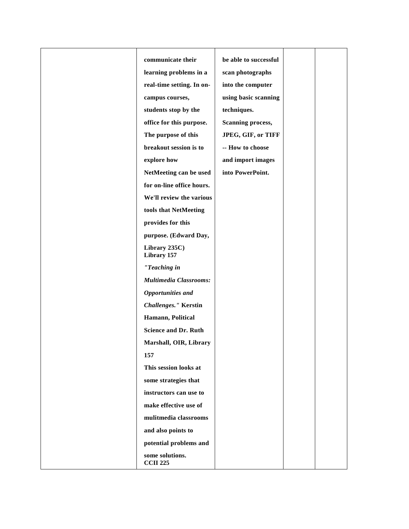| communicate their                  | be able to successful    |  |
|------------------------------------|--------------------------|--|
| learning problems in a             | scan photographs         |  |
| real-time setting. In on-          | into the computer        |  |
| campus courses,                    | using basic scanning     |  |
| students stop by the               | techniques.              |  |
| office for this purpose.           | <b>Scanning process,</b> |  |
| The purpose of this                | JPEG, GIF, or TIFF       |  |
| breakout session is to             | -- How to choose         |  |
| explore how                        | and import images        |  |
| NetMeeting can be used             | into PowerPoint.         |  |
| for on-line office hours.          |                          |  |
| We'll review the various           |                          |  |
| tools that NetMeeting              |                          |  |
| provides for this                  |                          |  |
| purpose. (Edward Day,              |                          |  |
| Library 235C)<br>Library 157       |                          |  |
| "Teaching in                       |                          |  |
| <b>Multimedia Classrooms:</b>      |                          |  |
| <b>Opportunities and</b>           |                          |  |
| <b>Challenges."</b> Kerstin        |                          |  |
| Hamann, Political                  |                          |  |
| <b>Science and Dr. Ruth</b>        |                          |  |
| Marshall, OIR, Library             |                          |  |
| 157                                |                          |  |
| This session looks at              |                          |  |
| some strategies that               |                          |  |
| instructors can use to             |                          |  |
| make effective use of              |                          |  |
| mulitmedia classrooms              |                          |  |
| and also points to                 |                          |  |
| potential problems and             |                          |  |
| some solutions.<br><b>CCII 225</b> |                          |  |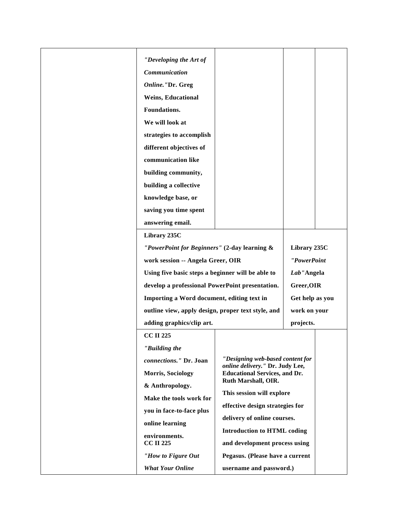|  | "Developing the Art of<br>Communication<br>Online."Dr. Greg<br>Weins, Educational<br>Foundations.<br>We will look at<br>strategies to accomplish                                                                                      |                                                                     |                 |  |
|--|---------------------------------------------------------------------------------------------------------------------------------------------------------------------------------------------------------------------------------------|---------------------------------------------------------------------|-----------------|--|
|  | different objectives of<br>communication like                                                                                                                                                                                         |                                                                     |                 |  |
|  | building community,                                                                                                                                                                                                                   |                                                                     |                 |  |
|  | building a collective                                                                                                                                                                                                                 |                                                                     |                 |  |
|  | knowledge base, or                                                                                                                                                                                                                    |                                                                     |                 |  |
|  | saving you time spent                                                                                                                                                                                                                 |                                                                     |                 |  |
|  | answering email.                                                                                                                                                                                                                      |                                                                     |                 |  |
|  | Library 235C                                                                                                                                                                                                                          |                                                                     |                 |  |
|  | "PowerPoint for Beginners" (2-day learning &                                                                                                                                                                                          |                                                                     | Library 235C    |  |
|  | work session -- Angela Greer, OIR                                                                                                                                                                                                     |                                                                     | "PowerPoint     |  |
|  | Using five basic steps a beginner will be able to<br>develop a professional PowerPoint presentation.<br>Importing a Word document, editing text in<br>outline view, apply design, proper text style, and<br>adding graphics/clip art. |                                                                     | Lab"Angela      |  |
|  |                                                                                                                                                                                                                                       |                                                                     | Greer, OIR      |  |
|  |                                                                                                                                                                                                                                       |                                                                     | Get help as you |  |
|  |                                                                                                                                                                                                                                       |                                                                     | work on your    |  |
|  |                                                                                                                                                                                                                                       |                                                                     | projects.       |  |
|  | <b>CC II 225</b>                                                                                                                                                                                                                      |                                                                     |                 |  |
|  | "Building the                                                                                                                                                                                                                         |                                                                     |                 |  |
|  | connections." Dr. Joan                                                                                                                                                                                                                | "Designing web-based content for<br>online delivery." Dr. Judy Lee, |                 |  |
|  | Morris, Sociology                                                                                                                                                                                                                     | <b>Educational Services, and Dr.</b>                                |                 |  |
|  | & Anthropology.                                                                                                                                                                                                                       | Ruth Marshall, OIR.                                                 |                 |  |
|  | Make the tools work for                                                                                                                                                                                                               | This session will explore                                           |                 |  |
|  | you in face-to-face plus                                                                                                                                                                                                              | effective design strategies for                                     |                 |  |
|  | online learning                                                                                                                                                                                                                       | delivery of online courses.<br><b>Introduction to HTML coding</b>   |                 |  |
|  | environments.<br><b>CC II 225</b>                                                                                                                                                                                                     | and development process using                                       |                 |  |
|  | "How to Figure Out                                                                                                                                                                                                                    | Pegasus. (Please have a current                                     |                 |  |
|  | <b>What Your Online</b>                                                                                                                                                                                                               | username and password.)                                             |                 |  |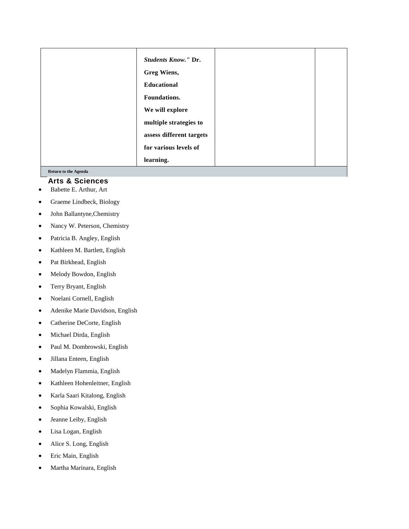| <b>Students Know." Dr.</b><br>Greg Wiens,<br><b>Educational</b><br>Foundations.<br>We will explore<br>multiple strategies to<br>assess different targets |  |
|----------------------------------------------------------------------------------------------------------------------------------------------------------|--|
| for various levels of                                                                                                                                    |  |
| learning.                                                                                                                                                |  |

#### **[Return](http://fctl.ucf.edu/Events/SummerConference/1999/#agenda) to the Agenda**

# **Arts & Sciences**

- Babette E. Arthur, Art
- Graeme Lindbeck, Biology
- John Ballantyne,Chemistry
- Nancy W. Peterson, Chemistry
- Patricia B. Angley, English
- Kathleen M. Bartlett, English
- Pat Birkhead, English
- Melody Bowdon, English
- Terry Bryant, English
- Noelani Cornell, English
- Adenike Marie Davidson, English
- Catherine DeCorte, English
- Michael Dirda, English
- Paul M. Dombrowski, English
- Jillana Enteen, English
- Madelyn Flammia, English
- Kathleen Hohenleitner, English
- Karla Saari Kitalong, English
- Sophia Kowalski, English
- Jeanne Leiby, English
- Lisa Logan, English
- Alice S. Long, English
- Eric Main, English
- Martha Marinara, English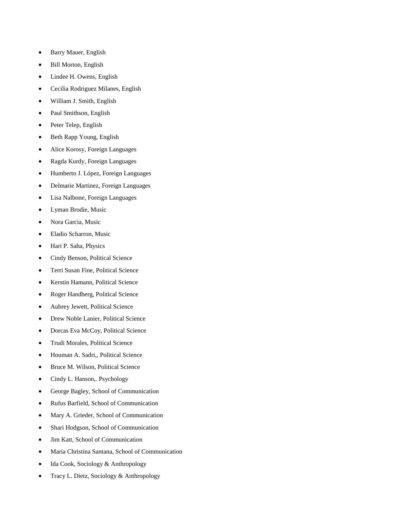- Barry Mauer, English
- Bill Morton, English
- Lindee H. Owens, English
- Cecilia Rodriguez Milanes, English
- William J. Smith, English
- Paul Smithson, English
- Peter Telep, English
- Beth Rapp Young, English
- Alice Korosy, Foreign Languages
- Ragda Kurdy, Foreign Languages
- Humberto J. López, Foreign Languages
- Delmarie Martinez, Foreign Languages
- Lisa Nalbone, Foreign Languages
- Lyman Brodie, Music
- Nora Garcia, Music
- Eladio Scharron, Music
- Hari P. Saha, Physics
- Cindy Benson, Political Science
- Terri Susan Fine, Political Science
- Kerstin Hamann, Political Science
- Roger Handberg, Political Science
- Aubrey Jewett, Political Science
- Drew Noble Lanier, Political Science
- Dorcas Eva McCoy, Political Science
- Trudi Morales, Political Science
- Houman A. Sadri,, Political Science
- Bruce M. Wilson, Political Science
- Cindy L. Hanson,. Psychology
- George Bagley, School of Communication
- Rufus Barfield, School of Communication
- Mary A. Grieder, School of Communication
- Shari Hodgson, School of Communication
- Jim Katt, School of Communication
- Maria Christina Santana, School of Communication
- Ida Cook, Sociology & Anthropology
- Tracy L. Dietz, Sociology & Anthropology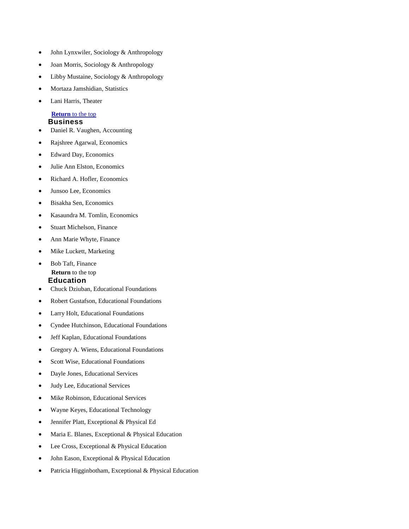- John Lynxwiler, Sociology & Anthropology
- Joan Morris, Sociology & Anthropology
- Libby Mustaine, Sociology & Anthropology
- Mortaza Jamshidian, Statistics
- Lani Harris, Theater

#### **[Return](#page-0-0)** to the top **Business**

- Daniel R. Vaughen, Accounting
- Rajshree Agarwal, Economics
- Edward Day, Economics
- Julie Ann Elston, Economics
- Richard A. Hofler, Economics
- Junsoo Lee, Economics
- Bisakha Sen, Economics
- Kasaundra M. Tomlin, Economics
- Stuart Michelson, Finance
- Ann Marie Whyte, Finance
- Mike Luckett, Marketing

# Bob Taft, Finance **[Return](http://fctl.ucf.edu/Events/SummerConference/1999/#agenda)** to the top **Education**

- Chuck Dziuban, Educational Foundations
- Robert Gustafson, Educational Foundations
- Larry Holt, Educational Foundations
- Cyndee Hutchinson, Educational Foundations
- Jeff Kaplan, Educational Foundations
- Gregory A. Wiens, Educational Foundations
- Scott Wise, Educational Foundations
- Dayle Jones, Educational Services
- Judy Lee, Educational Services
- Mike Robinson, Educational Services
- Wayne Keyes, Educational Technology
- Jennifer Platt, Exceptional & Physical Ed
- Maria E. Blanes, Exceptional & Physical Education
- Lee Cross, Exceptional & Physical Education
- John Eason, Exceptional & Physical Education
- Patricia Higginbotham, Exceptional & Physical Education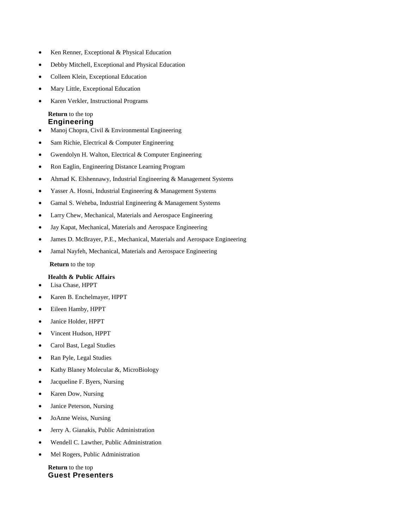- Ken Renner, Exceptional & Physical Education
- Debby Mitchell, Exceptional and Physical Education
- Colleen Klein, Exceptional Education
- Mary Little, Exceptional Education
- Karen Verkler, Instructional Programs

#### **[Return](http://fctl.ucf.edu/Events/SummerConference/1999/#agenda)** to the top **Engineering**

- Manoj Chopra, Civil & Environmental Engineering
- Sam Richie, Electrical & Computer Engineering
- Gwendolyn H. Walton, Electrical & Computer Engineering
- Ron Eaglin, Engineering Distance Learning Program
- Ahmad K. Elshennawy, Industrial Engineering & Management Systems
- Yasser A. Hosni, Industrial Engineering & Management Systems
- Gamal S. Weheba, Industrial Engineering & Management Systems
- Larry Chew, Mechanical, Materials and Aerospace Engineering
- Jay Kapat, Mechanical, Materials and Aerospace Engineering
- James D. McBrayer, P.E., Mechanical, Materials and Aerospace Engineering
- Jamal Nayfeh, Mechanical, Materials and Aerospace Engineering

**[Return](http://fctl.ucf.edu/Events/SummerConference/1999/#agenda)** to the top

#### **Health & Public Affairs**

- Lisa Chase, HPPT
- Karen B. Enchelmayer, HPPT
- Eileen Hamby, HPPT
- Janice Holder, HPPT
- Vincent Hudson, HPPT
- Carol Bast, Legal Studies
- Ran Pyle, Legal Studies
- Kathy Blaney Molecular &, MicroBiology
- Jacqueline F. Byers, Nursing
- Karen Dow, Nursing
- Janice Peterson, Nursing
- JoAnne Weiss, Nursing
- Jerry A. Gianakis, Public Administration
- Wendell C. Lawther, Public Administration
- Mel Rogers, Public Administration

**[Return](http://fctl.ucf.edu/Events/SummerConference/1999/#agenda)** to the top **Guest Presenters**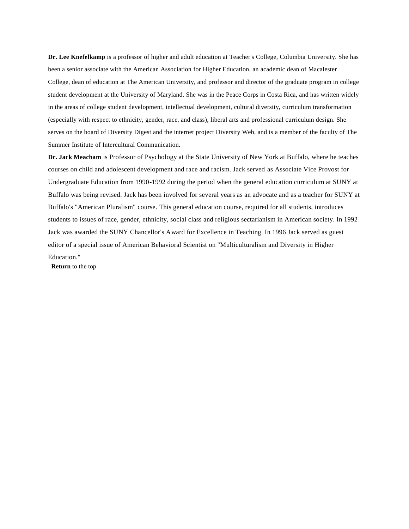**Dr. Lee Knefelkamp** is a professor of higher and adult education at Teacher's College, Columbia University. She has been a senior associate with the American Association for Higher Education, an academic dean of Macalester College, dean of education at The American University, and professor and director of the graduate program in college student development at the University of Maryland. She was in the Peace Corps in Costa Rica, and has written widely in the areas of college student development, intellectual development, cultural diversity, curriculum transformation (especially with respect to ethnicity, gender, race, and class), liberal arts and professional curriculum design. She serves on the board of Diversity Digest and the internet project Diversity Web, and is a member of the faculty of The Summer Institute of Intercultural Communication.

**Dr. Jack Meacham** is Professor of Psychology at the State University of New York at Buffalo, where he teaches courses on child and adolescent development and race and racism. Jack served as Associate Vice Provost for Undergraduate Education from 1990-1992 during the period when the general education curriculum at SUNY at Buffalo was being revised. Jack has been involved for several years as an advocate and as a teacher for SUNY at Buffalo's "American Pluralism" course. This general education course, required for all students, introduces students to issues of race, gender, ethnicity, social class and religious sectarianism in American society. In 1992 Jack was awarded the SUNY Chancellor's Award for Excellence in Teaching. In 1996 Jack served as guest editor of a special issue of American Behavioral Scientist on "Multiculturalism and Diversity in Higher Education."

**[Return](http://fctl.ucf.edu/Events/SummerConference/1999/#agenda)** to the top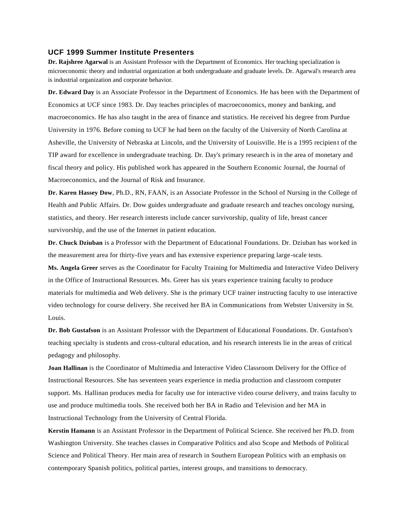#### **UCF 1999 Summer Institute Presenters**

**Dr. Rajshree Agarwal** is an Assistant Professor with the Department of Economics. Her teaching specialization is microeconomic theory and industrial organization at both undergraduate and graduate levels. Dr. Agarwal's research area is industrial organization and corporate behavior.

**Dr. Edward Day** is an Associate Professor in the Department of Economics. He has been with the Department of Economics at UCF since 1983. Dr. Day teaches principles of macroeconomics, money and banking, and macroeconomics. He has also taught in the area of finance and statistics. He received his degree from Purdue University in 1976. Before coming to UCF he had been on the faculty of the University of North Carolina at Asheville, the University of Nebraska at Lincoln, and the University of Louisville. He is a 1995 recipien t of the TIP award for excellence in undergraduate teaching. Dr. Day's primary research is in the area of monetary and fiscal theory and policy. His published work has appeared in the Southern Economic Journal, the Journal of Macroeconomics, and the Journal of Risk and Insurance.

**Dr. Karen Hassey Dow**, Ph.D., RN, FAAN, is an Associate Professor in the School of Nursing in the College of Health and Public Affairs. Dr. Dow guides undergraduate and graduate research and teaches oncology nursing, statistics, and theory. Her research interests include cancer survivorship, quality of life, breast cancer survivorship, and the use of the Internet in patient education.

**Dr. Chuck Dziuban** is a Professor with the Department of Educational Foundations. Dr. Dziuban has worked in the measurement area for thirty-five years and has extensive experience preparing large-scale tests.

**Ms. Angela Greer** serves as the Coordinator for Faculty Training for Multimedia and Interactive Video Delivery in the Office of Instructional Resources. Ms. Greer has six years experience training faculty to produce materials for multimedia and Web delivery. She is the primary UCF trainer instructing faculty to use interactive video technology for course delivery. She received her BA in Communications from Webster University in St. Louis.

**Dr. Bob Gustafson** is an Assistant Professor with the Department of Educational Foundations. Dr. Gustafson's teaching specialty is students and cross-cultural education, and his research interests lie in the areas of critical pedagogy and philosophy.

**Joan Hallinan** is the Coordinator of Multimedia and Interactive Video Classroom Delivery for the Office of Instructional Resources. She has seventeen years experience in media production and classroom computer support. Ms. Hallinan produces media for faculty use for interactive video course delivery, and trains faculty to use and produce multimedia tools. She received both her BA in Radio and Television and her MA in Instructional Technology from the University of Central Florida.

**Kerstin Hamann** is an Assistant Professor in the Department of Political Science. She received her Ph.D. from Washington University. She teaches classes in Comparative Politics and also Scope and Methods of Political Science and Political Theory. Her main area of research in Southern European Politics with an emphasis on contemporary Spanish politics, political parties, interest groups, and transitions to democracy.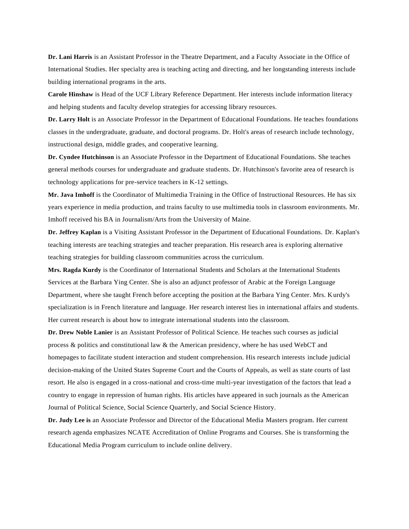**Dr. Lani Harris** is an Assistant Professor in the Theatre Department, and a Faculty Associate in the Office of International Studies. Her specialty area is teaching acting and directing, and her longstanding interests include building international programs in the arts.

**Carole Hinshaw** is Head of the UCF Library Reference Department. Her interests include information literacy and helping students and faculty develop strategies for accessing library resources.

**Dr. Larry Holt** is an Associate Professor in the Department of Educational Foundations. He teaches foundations classes in the undergraduate, graduate, and doctoral programs. Dr. Holt's areas of research include technology, instructional design, middle grades, and cooperative learning.

**Dr. Cyndee Hutchinson** is an Associate Professor in the Department of Educational Foundations. She teaches general methods courses for undergraduate and graduate students. Dr. Hutchinson's favorite area of research is technology applications for pre-service teachers in K-12 settings.

**Mr. Java Imhoff** is the Coordinator of Multimedia Training in the Office of Instructional Resources. He has six years experience in media production, and trains faculty to use multimedia tools in classroom environments. Mr. Imhoff received his BA in Journalism/Arts from the University of Maine.

**Dr. Jeffrey Kaplan** is a Visiting Assistant Professor in the Department of Educational Foundations. Dr. Kaplan's teaching interests are teaching strategies and teacher preparation. His research area is exploring alternative teaching strategies for building classroom communities across the curriculum.

**Mrs. Ragda Kurdy** is the Coordinator of International Students and Scholars at the International Students Services at the Barbara Ying Center. She is also an adjunct professor of Arabic at the Foreign Language Department, where she taught French before accepting the position at the Barbara Ying Center. Mrs. Kurdy's specialization is in French literature and language. Her research interest lies in international affairs and students. Her current research is about how to integrate international students into the classroom.

**Dr. Drew Noble Lanier** is an Assistant Professor of Political Science. He teaches such courses as judicial process & politics and constitutional law & the American presidency, where he has used WebCT and homepages to facilitate student interaction and student comprehension. His research interests include judicial decision-making of the United States Supreme Court and the Courts of Appeals, as well as state courts of last resort. He also is engaged in a cross-national and cross-time multi-year investigation of the factors that lead a country to engage in repression of human rights. His articles have appeared in such journals as the American Journal of Political Science, Social Science Quarterly, and Social Science History.

**Dr. Judy Lee is** an Associate Professor and Director of the Educational Media Masters program. Her current research agenda emphasizes NCATE Accreditation of Online Programs and Courses. She is transforming the Educational Media Program curriculum to include online delivery.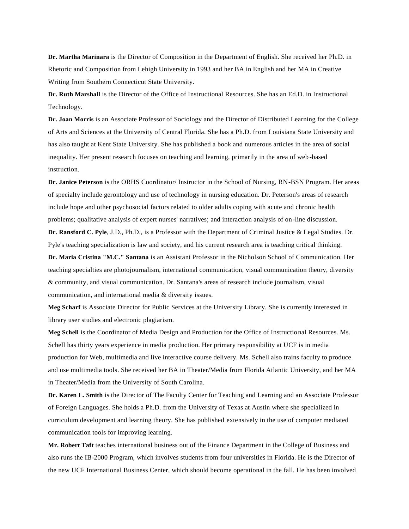**Dr. Martha Marinara** is the Director of Composition in the Department of English. She received her Ph.D. in Rhetoric and Composition from Lehigh University in 1993 and her BA in English and her MA in Creative Writing from Southern Connecticut State University.

**Dr. Ruth Marshall** is the Director of the Office of Instructional Resources. She has an Ed.D. in Instructional Technology.

**Dr. Joan Morris** is an Associate Professor of Sociology and the Director of Distributed Learning for the College of Arts and Sciences at the University of Central Florida. She has a Ph.D. from Louisiana State University and has also taught at Kent State University. She has published a book and numerous articles in the area of social inequality. Her present research focuses on teaching and learning, primarily in the area of web -based instruction.

**Dr. Janice Peterson** is the ORHS Coordinator/ Instructor in the School of Nursing, RN-BSN Program. Her areas of specialty include gerontology and use of technology in nursing education. Dr. Peterson's areas of research include hope and other psychosocial factors related to older adults coping with acute and chronic health problems; qualitative analysis of expert nurses' narratives; and interaction analysis of on-line discussion.

**Dr. Ransford C. Pyle**, J.D., Ph.D., is a Professor with the Department of Criminal Justice & Legal Studies. Dr. Pyle's teaching specialization is law and society, and his current research area is teaching critical thinking.

**Dr. Maria Cristina "M.C." Santana** is an Assistant Professor in the Nicholson School of Communication. Her teaching specialties are photojournalism, international communication, visual communication theory, diversity & community, and visual communication. Dr. Santana's areas of research include journalism, visual communication, and international media & diversity issues.

**Meg Scharf** is Associate Director for Public Services at the University Library. She is currently interested in library user studies and electronic plagiarism.

**Meg Schell** is the Coordinator of Media Design and Production for the Office of Instructional Resources. Ms. Schell has thirty years experience in media production. Her primary responsibility at UCF is in media production for Web, multimedia and live interactive course delivery. Ms. Schell also trains faculty to produce and use multimedia tools. She received her BA in Theater/Media from Florida Atlantic University, and her MA in Theater/Media from the University of South Carolina.

**Dr. Karen L. Smith** is the Director of The Faculty Center for Teaching and Learning and an Associate Professor of Foreign Languages. She holds a Ph.D. from the University of Texas at Austin where she specialized in curriculum development and learning theory. She has published extensively in the use of computer mediated communication tools for improving learning.

**Mr. Robert Taft** teaches international business out of the Finance Department in the College of Business and also runs the IB-2000 Program, which involves students from four universities in Florida. He is the Director of the new UCF International Business Center, which should become operational in the fall. He has been involved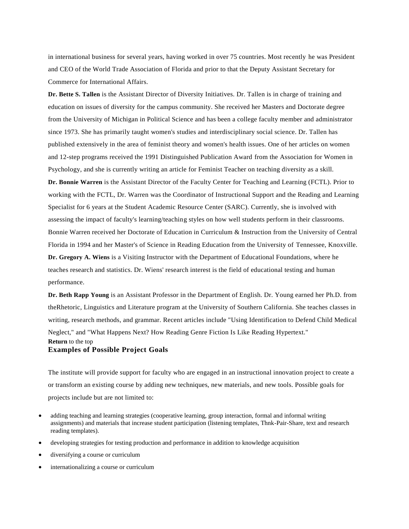in international business for several years, having worked in over 75 countries. Most recently he was President and CEO of the World Trade Association of Florida and prior to that the Deputy Assistant Secretary for Commerce for International Affairs.

**Dr. Bette S. Tallen** is the Assistant Director of Diversity Initiatives. Dr. Tallen is in charge of training and education on issues of diversity for the campus community. She received her Masters and Doctorate degree from the University of Michigan in Political Science and has been a college faculty member and administrator since 1973. She has primarily taught women's studies and interdisciplinary social science. Dr. Tallen has published extensively in the area of feminist theory and women's health issues. One of her articles on women and 12-step programs received the 1991 Distinguished Publication Award from the Association for Women in Psychology, and she is currently writing an article for Feminist Teacher on teaching diversity as a skill. **Dr. Bonnie Warren** is the Assistant Director of the Faculty Center for Teaching and Learning (FCTL). Prior to working with the FCTL, Dr. Warren was the Coordinator of Instructional Support and the Reading and Learning Specialist for 6 years at the Student Academic Resource Center (SARC). Currently, she is involved with assessing the impact of faculty's learning/teaching styles on how well students perform in their classrooms. Bonnie Warren received her Doctorate of Education in Curriculum & Instruction from the University of Central Florida in 1994 and her Master's of Science in Reading Education from the University of Tennessee, Knoxville. **Dr. Gregory A. Wiens** is a Visiting Instructor with the Department of Educational Foundations, where he teaches research and statistics. Dr. Wiens' research interest is the field of educational testing and human performance.

**Dr. Beth Rapp Young** is an Assistant Professor in the Department of English. Dr. Young earned her Ph.D. from theRhetoric, Linguistics and Literature program at the University of Southern California. She teaches classes in writing, research methods, and grammar. Recent articles include "Using Identification to Defend Child Medical Neglect," and "What Happens Next? How Reading Genre Fiction Is Like Reading Hypertext." **[Return](http://fctl.ucf.edu/Events/SummerConference/1999/#agenda)** to the top

### **Examples of Possible Project Goals**

The institute will provide support for faculty who are engaged in an instructional innovation project to create a or transform an existing course by adding new techniques, new materials, and new tools. Possible goals for projects include but are not limited to:

- adding teaching and learning strategies (cooperative learning, group interaction, formal and informal writing assignments) and materials that increase student participation (listening templates, Thnk-Pair-Share, text and research reading templates).
- developing strategies for testing production and performance in addition to knowledge acquisition
- diversifying a course or curriculum
- internationalizing a course or curriculum